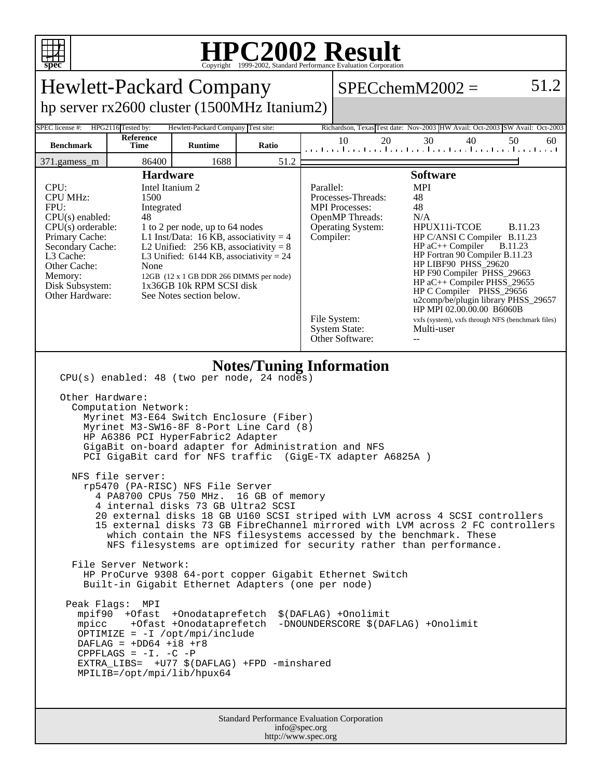

## **HPC2002 Result**

| <b>Hewlett-Packard Company</b>                                                                                                                                                                                                                                                                                                                                                                                                                                                                                                                                                                                                                                                                                                                                                                                                                                                                                                                                                                                                                                                                                                                                                                                                                                                                         |                          |                                    | 51.2<br>$SPECchemM2002 =$ |                                                                                                                                                                                                                                                                                                                                                                                                                                                                                                                                                                                                                                        |          |                                                                              |          |
|--------------------------------------------------------------------------------------------------------------------------------------------------------------------------------------------------------------------------------------------------------------------------------------------------------------------------------------------------------------------------------------------------------------------------------------------------------------------------------------------------------------------------------------------------------------------------------------------------------------------------------------------------------------------------------------------------------------------------------------------------------------------------------------------------------------------------------------------------------------------------------------------------------------------------------------------------------------------------------------------------------------------------------------------------------------------------------------------------------------------------------------------------------------------------------------------------------------------------------------------------------------------------------------------------------|--------------------------|------------------------------------|---------------------------|----------------------------------------------------------------------------------------------------------------------------------------------------------------------------------------------------------------------------------------------------------------------------------------------------------------------------------------------------------------------------------------------------------------------------------------------------------------------------------------------------------------------------------------------------------------------------------------------------------------------------------------|----------|------------------------------------------------------------------------------|----------|
| hp server rx2600 cluster (1500MHz Itanium2)                                                                                                                                                                                                                                                                                                                                                                                                                                                                                                                                                                                                                                                                                                                                                                                                                                                                                                                                                                                                                                                                                                                                                                                                                                                            |                          |                                    |                           |                                                                                                                                                                                                                                                                                                                                                                                                                                                                                                                                                                                                                                        |          |                                                                              |          |
| SPEC license #:                                                                                                                                                                                                                                                                                                                                                                                                                                                                                                                                                                                                                                                                                                                                                                                                                                                                                                                                                                                                                                                                                                                                                                                                                                                                                        | HPG2116 Tested by:       | Hewlett-Packard Company Test site: |                           |                                                                                                                                                                                                                                                                                                                                                                                                                                                                                                                                                                                                                                        |          | Richardson, Texas Test date: Nov-2003 HW Avail: Oct-2003 SW Avail: Oct-2003  |          |
| <b>Benchmark</b>                                                                                                                                                                                                                                                                                                                                                                                                                                                                                                                                                                                                                                                                                                                                                                                                                                                                                                                                                                                                                                                                                                                                                                                                                                                                                       | <b>Reference</b><br>Time | <b>Runtime</b>                     | Ratio                     |                                                                                                                                                                                                                                                                                                                                                                                                                                                                                                                                                                                                                                        | 10<br>20 | 30<br>40<br>المتسامين والمتمارين والمتوارين والمتواردين المتوارين والمتواردة | 50<br>60 |
| 86400<br>1688<br>51.2<br>371.gamess_m<br><b>Hardware</b>                                                                                                                                                                                                                                                                                                                                                                                                                                                                                                                                                                                                                                                                                                                                                                                                                                                                                                                                                                                                                                                                                                                                                                                                                                               |                          |                                    |                           |                                                                                                                                                                                                                                                                                                                                                                                                                                                                                                                                                                                                                                        |          | <b>Software</b>                                                              |          |
| Intel Itanium 2<br>CPU:<br><b>CPU MHz:</b><br>1500<br>FPU:<br>Integrated<br>$CPU(s)$ enabled:<br>48<br>$CPU(s)$ orderable:<br>1 to 2 per node, up to 64 nodes<br>Primary Cache:<br>L1 Inst/Data: 16 KB, associativity = $4$<br>Secondary Cache:<br>L2 Unified: $256$ KB, associativity = 8<br>L <sub>3</sub> Cache:<br>L3 Unified: $6144$ KB, associativity = 24<br>Other Cache:<br>None<br>Memory:<br>12GB (12 x 1 GB DDR 266 DIMMS per node)<br>1x36GB 10k RPM SCSI disk<br>Disk Subsystem:<br>Other Hardware:<br>See Notes section below.                                                                                                                                                                                                                                                                                                                                                                                                                                                                                                                                                                                                                                                                                                                                                           |                          |                                    |                           | <b>MPI</b><br>Parallel:<br>Processes-Threads:<br>48<br><b>MPI</b> Processes:<br>48<br><b>OpenMP</b> Threads:<br>N/A<br>HPUX11i-TCOE<br><b>B.11.23</b><br>Operating System:<br>Compiler:<br>HP C/ANSI C Compiler B.11.23<br>$HP$ aC++ Compiler<br><b>B.11.23</b><br>HP Fortran 90 Compiler B.11.23<br>HP LIBF90 PHSS_29620<br>HP F90 Compiler PHSS_29663<br>HP aC++ Compiler PHSS_29655<br>HP C Compiler PHSS_29656<br>u2comp/be/plugin library PHSS_29657<br>HP MPI 02.00.00.00 B6060B<br>File System:<br>vxfs (system), vxfs through NFS (benchmark files)<br><b>System State:</b><br>Multi-user<br>Other Software:<br>$\overline{a}$ |          |                                                                              |          |
| <b>Notes/Tuning Information</b><br>CPU(s) enabled: 48 (two per node, 24 nodes)<br>Other Hardware:<br>Computation Network:<br>Myrinet M3-E64 Switch Enclosure (Fiber)<br>Myrinet M3-SW16-8F 8-Port Line Card (8)<br>HP A6386 PCI HyperFabric2 Adapter<br>GigaBit on-board adapter for Administration and NFS<br>PCI GigaBit card for NFS traffic (GigE-TX adapter A6825A)<br>NFS file server:<br>rp5470 (PA-RISC) NFS File Server<br>4 PA8700 CPUs 750 MHz.<br>16 GB of memory<br>4 internal disks 73 GB Ultra2 SCSI<br>20 external disks 18 GB U160 SCSI striped with LVM across 4 SCSI controllers<br>15 external disks 73 GB FibreChannel mirrored with LVM across 2 FC controllers<br>which contain the NFS filesystems accessed by the benchmark. These<br>NFS filesystems are optimized for security rather than performance.<br>File Server Network:<br>HP ProCurve 9308 64-port copper Gigabit Ethernet Switch<br>Built-in Gigabit Ethernet Adapters (one per node)<br>Peak Flags: MPI<br>mpif90 +Ofast +Onodataprefetch<br>\$(DAFLAG) +Onolimit<br>mpicc +Ofast +Onodataprefetch<br>-DNOUNDERSCORE \$(DAFLAG) +Onolimit<br>$OPTIMIZE = -I /opt/mpi/include$<br>DAFLAG = $+DD64$ +i8 +r8<br>CPPFLAGS = $-I. -C$ -P<br>EXTRA_LIBS= +U77 \$(DAFLAG) +FPD -minshared<br>MPILIB=/opt/mpi/lib/hpux64 |                          |                                    |                           |                                                                                                                                                                                                                                                                                                                                                                                                                                                                                                                                                                                                                                        |          |                                                                              |          |
| Standard Performance Evaluation Corporation<br>info@spec.org                                                                                                                                                                                                                                                                                                                                                                                                                                                                                                                                                                                                                                                                                                                                                                                                                                                                                                                                                                                                                                                                                                                                                                                                                                           |                          |                                    |                           |                                                                                                                                                                                                                                                                                                                                                                                                                                                                                                                                                                                                                                        |          |                                                                              |          |

http://www.spec.org